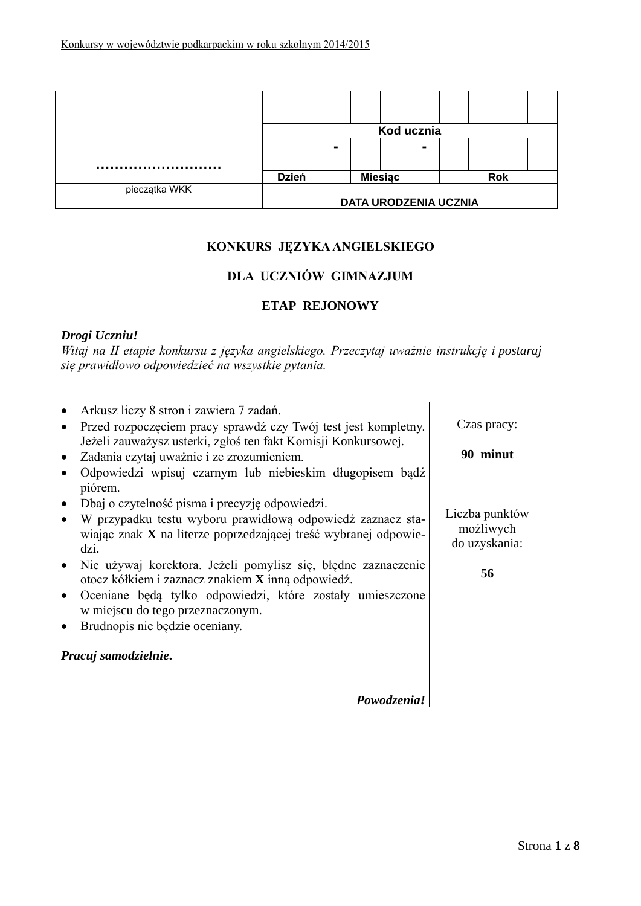|               | Kod ucznia                   |  |                |  |            |  |  |  |  |
|---------------|------------------------------|--|----------------|--|------------|--|--|--|--|
|               |                              |  | -              |  |            |  |  |  |  |
|               |                              |  |                |  |            |  |  |  |  |
|               | <b>Dzień</b>                 |  | <b>Miesiac</b> |  | <b>Rok</b> |  |  |  |  |
| pieczątka WKK |                              |  |                |  |            |  |  |  |  |
|               | <b>DATA URODZENIA UCZNIA</b> |  |                |  |            |  |  |  |  |

# **KONKURS JĘZYKA ANGIELSKIEGO**

## **DLA UCZNIÓW GIMNAZJUM**

## **ETAP REJONOWY**

### *Drogi Uczniu!*

*Witaj na II etapie konkursu z języka angielskiego. Przeczytaj uważnie instrukcję i postaraj się prawidłowo odpowiedzieć na wszystkie pytania.*

| Arkusz liczy 8 stron i zawiera 7 zadań.<br>Przed rozpoczęciem pracy sprawdź czy Twój test jest kompletny.<br>Jeżeli zauważysz usterki, zgłoś ten fakt Komisji Konkursowej.<br>Zadania czytaj uważnie i ze zrozumieniem.<br>Odpowiedzi wpisuj czarnym lub niebieskim długopisem bądź<br>piórem. | Czas pracy:<br>90 minut                      |
|------------------------------------------------------------------------------------------------------------------------------------------------------------------------------------------------------------------------------------------------------------------------------------------------|----------------------------------------------|
| Dbaj o czytelność pisma i precyzję odpowiedzi.<br>W przypadku testu wyboru prawidłową odpowiedź zaznacz sta-<br>wiając znak X na literze poprzedzającej treść wybranej odpowie-<br>dzi.                                                                                                        | Liczba punktów<br>możliwych<br>do uzyskania: |
| Nie używaj korektora. Jeżeli pomylisz się, błędne zaznaczenie<br>otocz kółkiem i zaznacz znakiem X inną odpowiedź.<br>Oceniane będą tylko odpowiedzi, które zostały umieszczone<br>w miejscu do tego przeznaczonym.<br>Brudnopis nie będzie oceniany.                                          | 56                                           |
| Pracuj samodzielnie.                                                                                                                                                                                                                                                                           |                                              |
| Powodzenia!                                                                                                                                                                                                                                                                                    |                                              |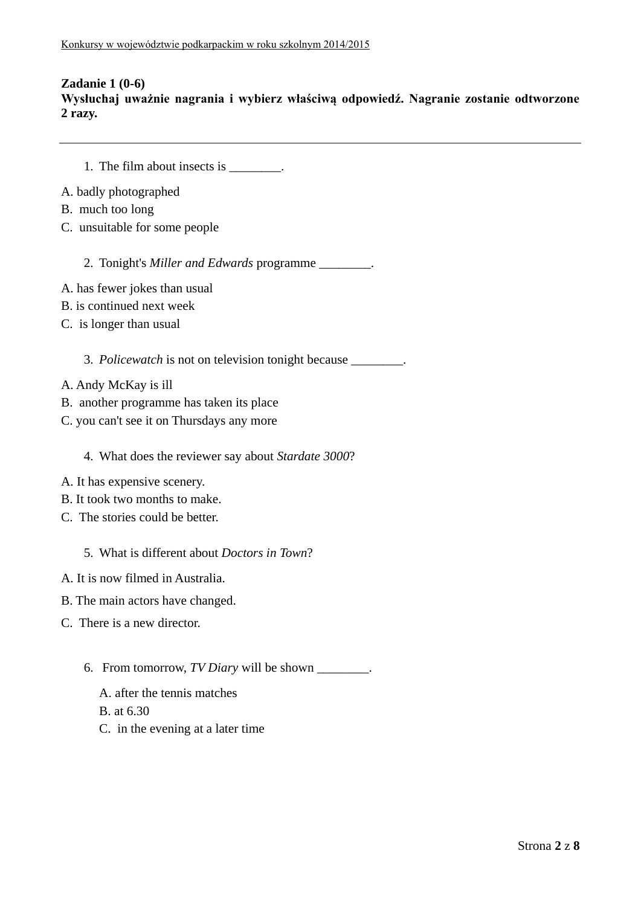## **Zadanie 1 (0-6)**

**Wysłuchaj uważnie nagrania i wybierz właściwą odpowiedź. Nagranie zostanie odtworzone 2 razy.**

- 1. The film about insects is  $\qquad \qquad$
- A. badly photographed
- B. much too long
- C. unsuitable for some people
	- 2. Tonight's *Miller and Edwards* programme \_\_\_\_\_\_\_\_.
- A. has fewer jokes than usual
- B. is continued next week
- C. is longer than usual

3. *Policewatch* is not on television tonight because \_\_\_\_\_\_\_\_.

- A. Andy McKay is ill
- B. another programme has taken its place
- C. you can't see it on Thursdays any more

4. What does the reviewer say about *Stardate 3000*?

- A. It has expensive scenery.
- B. It took two months to make.
- C. The stories could be better.

5. What is different about *Doctors in Town*?

- A. It is now filmed in Australia.
- B. The main actors have changed.
- C. There is a new director.
	- 6. From tomorrow, *TV Diary* will be shown \_\_\_\_\_\_\_\_.
		- A. after the tennis matches

B. at 6.30

C. in the evening at a later time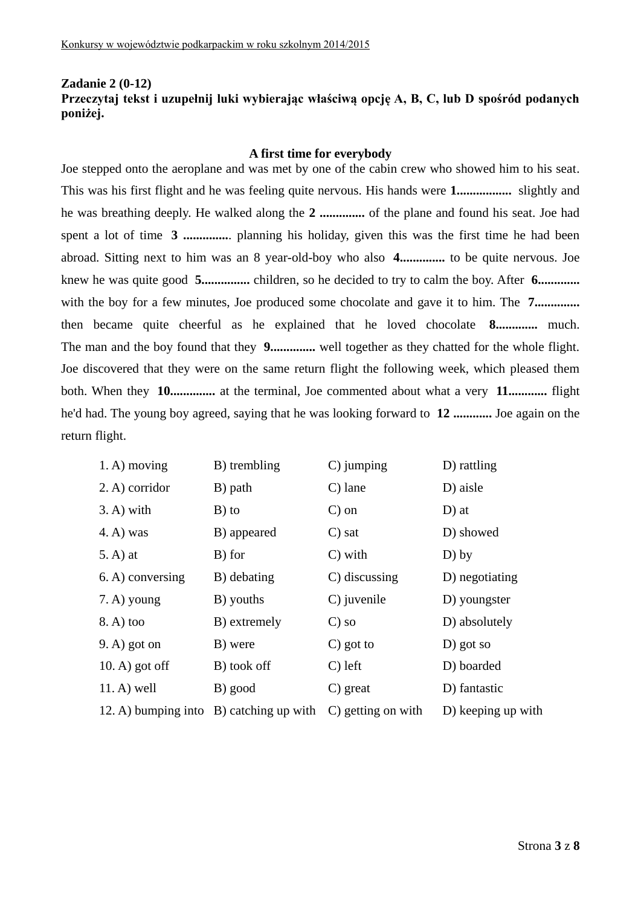### **Zadanie 2 (0-12) Przeczytaj tekst i uzupełnij luki wybierając właściwą opcję A, B, C, lub D spośród podanych poniżej.**

#### **A first time for everybody**

Joe stepped onto the aeroplane and was met by one of the cabin crew who showed him to his seat. This was his first flight and he was feeling quite nervous. His hands were **1.................** slightly and he was breathing deeply. He walked along the **2 ..............** of the plane and found his seat. Joe had spent a lot of time **3 ..............**. planning his holiday, given this was the first time he had been abroad. Sitting next to him was an 8 year-old-boy who also **4..............** to be quite nervous. Joe knew he was quite good **5...............** children, so he decided to try to calm the boy. After **6.............** with the boy for a few minutes, Joe produced some chocolate and gave it to him. The **7.............** then became quite cheerful as he explained that he loved chocolate **8.............** much. The man and the boy found that they **9..............** well together as they chatted for the whole flight. Joe discovered that they were on the same return flight the following week, which pleased them both. When they **10..............** at the terminal, Joe commented about what a very **11............** flight he'd had. The young boy agreed, saying that he was looking forward to **12 ............** Joe again on the return flight.

| $1. A)$ moving    | B) trembling                            | C) jumping         | D) rattling        |
|-------------------|-----------------------------------------|--------------------|--------------------|
| 2. A) corridor    | B) path                                 | $C$ ) lane         | D) aisle           |
| $3. A)$ with      | $B)$ to                                 | $C$ ) on           | $D$ ) at           |
| $(4. A)$ was      | B) appeared                             | $\mathcal{C}$ sat  | D) showed          |
| $(5. A)$ at       | B) for                                  | $C)$ with          | $D)$ by            |
| 6. A) conversing  | B) debating                             | C) discussing      | D) negotiating     |
| 7. A) young       | B) youths                               | C) juvenile        | D) youngster       |
| 8. A) too         | B) extremely                            | $\mathcal{C}$ ) so | D) absolutely      |
| $(9, A)$ got on   | B) were                                 | $C$ ) got to       | D) got so          |
| $(10. A)$ got off | B) took off                             | $C$ ) left         | D) boarded         |
| $11. A)$ well     | B) good                                 | $C)$ great         | D) fantastic       |
|                   | 12. A) bumping into B) catching up with | C) getting on with | D) keeping up with |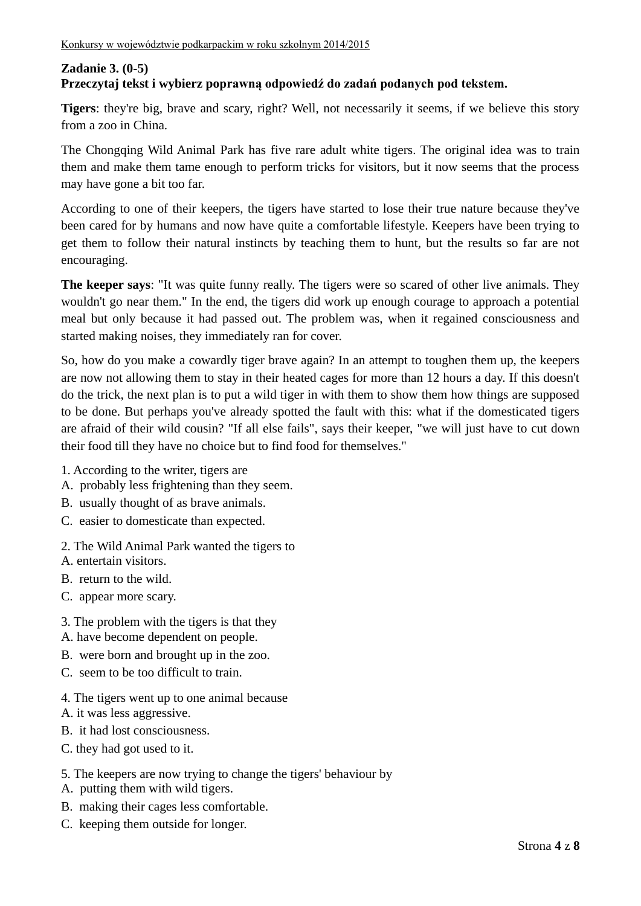## **Zadanie 3. (0-5) Przeczytaj tekst i wybierz poprawną odpowiedź do zadań podanych pod tekstem.**

**Tigers**: they're big, brave and scary, right? Well, not necessarily it seems, if we believe this story from a zoo in China.

The Chongqing Wild Animal Park has five rare adult white tigers. The original idea was to train them and make them tame enough to perform tricks for visitors, but it now seems that the process may have gone a bit too far.

According to one of their keepers, the tigers have started to lose their true nature because they've been cared for by humans and now have quite a comfortable lifestyle. Keepers have been trying to get them to follow their natural instincts by teaching them to hunt, but the results so far are not encouraging.

**The keeper says**: "It was quite funny really. The tigers were so scared of other live animals. They wouldn't go near them." In the end, the tigers did work up enough courage to approach a potential meal but only because it had passed out. The problem was, when it regained consciousness and started making noises, they immediately ran for cover.

So, how do you make a cowardly tiger brave again? In an attempt to toughen them up, the keepers are now not allowing them to stay in their heated cages for more than 12 hours a day. If this doesn't do the trick, the next plan is to put a wild tiger in with them to show them how things are supposed to be done. But perhaps you've already spotted the fault with this: what if the domesticated tigers are afraid of their wild cousin? "If all else fails", says their keeper, "we will just have to cut down their food till they have no choice but to find food for themselves."

- 1. According to the writer, tigers are
- A. probably less frightening than they seem.
- B. usually thought of as brave animals.
- C. easier to domesticate than expected.
- 2. The Wild Animal Park wanted the tigers to
- A. entertain visitors.
- B. return to the wild.
- C. appear more scary.
- 3. The problem with the tigers is that they
- A. have become dependent on people.
- B. were born and brought up in the zoo.
- C. seem to be too difficult to train.
- 4. The tigers went up to one animal because
- A. it was less aggressive.
- B. it had lost consciousness.
- C. they had got used to it.

### 5. The keepers are now trying to change the tigers' behaviour by

- A. putting them with wild tigers.
- B. making their cages less comfortable.
- C. keeping them outside for longer.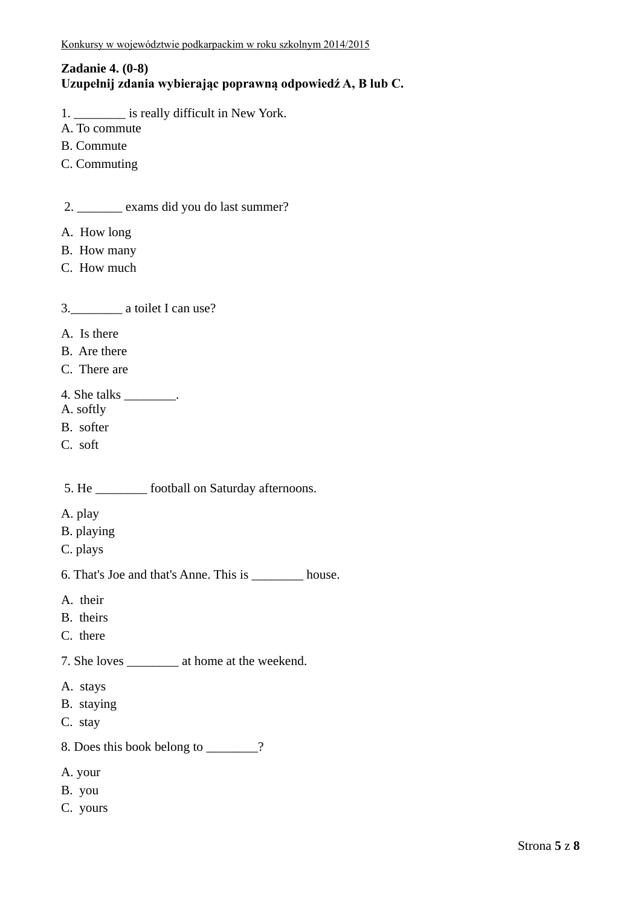# **Zadanie 4. (0-8)**

# **Uzupełnij zdania wybierając poprawną odpowiedź A, B lub C.**

- 1. \_\_\_\_\_\_\_\_ is really difficult in New York.
- A. To commute
- B. Commute
- C. Commuting

2. \_\_\_\_\_\_\_ exams did you do last summer?

- A. How long
- B. How many
- C. How much

3.\_\_\_\_\_\_\_\_ a toilet I can use?

- A. Is there
- B. Are there
- C. There are
- 4. She talks \_\_\_\_\_\_\_\_.
- A. softly
- B. softer
- C. soft

5. He football on Saturday afternoons.

- A. play
- B. playing
- C. plays

6. That's Joe and that's Anne. This is \_\_\_\_\_\_\_\_ house.

- A. their
- B. theirs
- C. there
- 7. She loves \_\_\_\_\_\_\_\_ at home at the weekend.
- A. stays
- B. staying
- C. stay
- 8. Does this book belong to  $\overline{?}$
- A. your
- B. you
- C. yours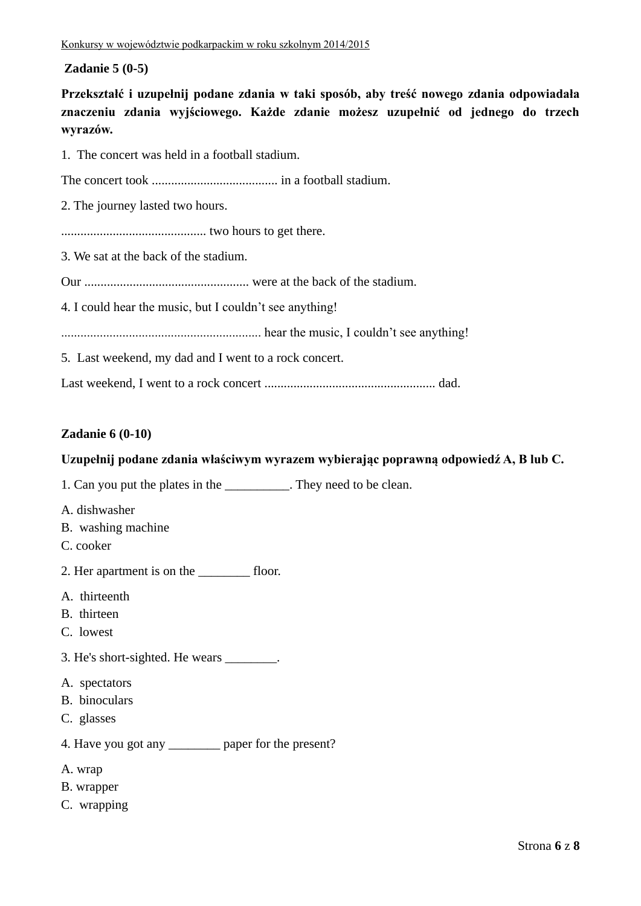### **Zadanie 5 (0-5)**

**Przekształć i uzupełnij podane zdania w taki sposób, aby treść nowego zdania odpowiadała znaczeniu zdania wyjściowego. Każde zdanie możesz uzupełnić od jednego do trzech wyrazów.**

1. The concert was held in a football stadium.

The concert took ....................................... in a football stadium.

2. The journey lasted two hours.

............................................. two hours to get there.

3. We sat at the back of the stadium.

Our ................................................... were at the back of the stadium.

4. I could hear the music, but I couldn't see anything!

.............................................................. hear the music, I couldn't see anything!

5. Last weekend, my dad and I went to a rock concert.

Last weekend, I went to a rock concert ..................................................... dad.

### **Zadanie 6 (0-10)**

#### **Uzupełnij podane zdania właściwym wyrazem wybierając poprawną odpowiedź A, B lub C.**

1. Can you put the plates in the \_\_\_\_\_\_\_\_\_\_. They need to be clean.

- A. dishwasher
- B. washing machine
- C. cooker
- 2. Her apartment is on the floor.
- A. thirteenth
- B. thirteen
- C. lowest
- 3. He's short-sighted. He wears \_\_\_\_\_\_\_\_.
- A. spectators
- B. binoculars
- C. glasses
- 4. Have you got any \_\_\_\_\_\_\_\_ paper for the present?
- A. wrap
- B. wrapper
- C. wrapping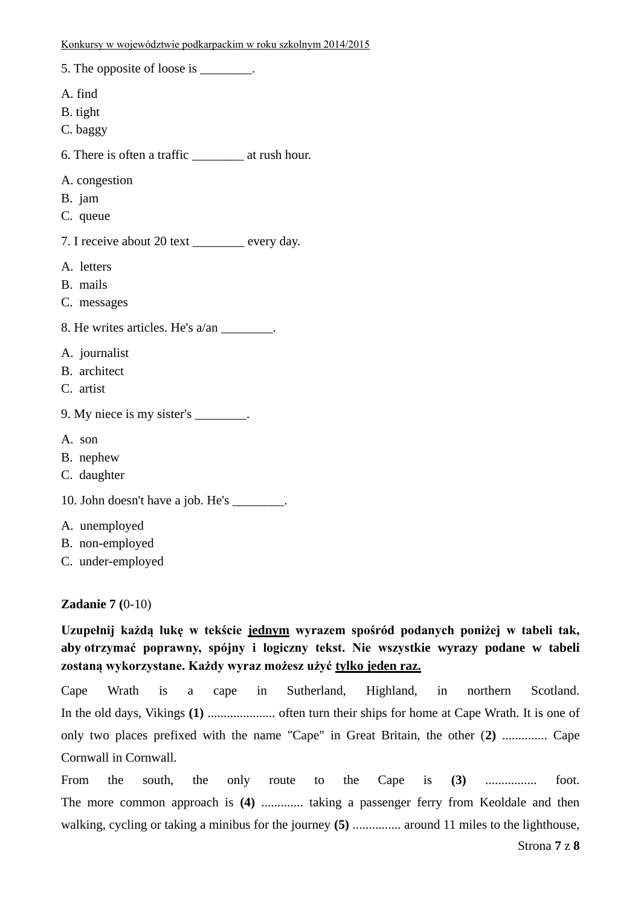| 5. The opposite of loose is ________.                    |
|----------------------------------------------------------|
| A. find<br>B. tight<br>C. baggy                          |
| 6. There is often a traffic ______________ at rush hour. |
| A. congestion<br>B. jam<br>C. queue                      |
| 7. I receive about 20 text _______ every day.            |
| A. letters<br>B. mails<br>C. messages                    |
| 8. He writes articles. He's a/an ________.               |
| A. journalist<br>B. architect<br>C. artist               |
| 9. My niece is my sister's ________.                     |
| A. son<br>B. nephew<br>C. daughter                       |
| 10. John doesn't have a job. He's ________.              |
| A. unemployed<br>B. non-employed<br>C. under-employed    |

#### **Zadanie 7 (**0-10)

**Uzupełnij każdą lukę w tekście jednym wyrazem spośród podanych poniżej w tabeli tak, aby otrzymać poprawny, spójny i logiczny tekst. Nie wszystkie wyrazy podane w tabeli zostaną wykorzystane. Każdy wyraz możesz użyć tylko jeden raz.**

Cape Wrath is a cape in Sutherland, Highland, in northern Scotland. In the old days, Vikings **(1)** ..................... often turn their ships for home at Cape Wrath. It is one of only two places prefixed with the name "Cape" in Great Britain, the other (**2)** .............. Cape Cornwall in Cornwall.

From the south, the only route to the Cape is **(3)** ................ foot. The more common approach is **(4)** ............. taking a passenger ferry from Keoldale and then walking, cycling or taking a minibus for the journey **(5)** ............... around 11 miles to the lighthouse,